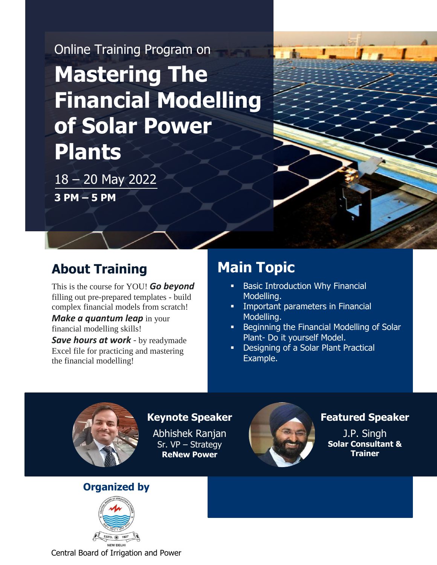# Online Training Program on **Mastering The Financial Modelling of Solar Power Plants**

18 – 20 May 2022 **3 PM – 5 PM**

## **About Training**

This is the course for YOU! *Go beyond* filling out pre-prepared templates - build complex financial models from scratch!

*Make a quantum leap* in your financial modelling skills!

*Save hours at work* - by readymade Excel file for practicing and mastering the financial modelling!

## **Main Topic**

- Basic Introduction Why Financial Modelling.
- **Important parameters in Financial** Modelling.
- **Beginning the Financial Modelling of Solar** Plant- Do it yourself Model.
- Designing of a Solar Plant Practical Example.



#### **Keynote Speaker**

Abhishek Ranjan Sr. VP – Strategy **ReNew Power**



## **Featured Speaker**

J.P. Singh **Solar Consultant & Trainer**

## **Organized by**

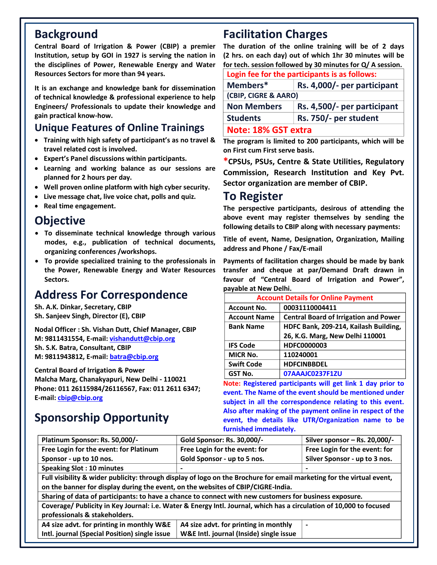**Institution, setup by GOI in 1927 is serving the nation in Central Board of Irrigation & Power (CBIP) a premier the disciplines of Power, Renewable Energy and Water Resources Sectors for more than 94 years.**

**It is an exchange and knowledge bank for dissemination of technical knowledge & professional experience to help Engineers/ Professionals to update their knowledge and gain practical know-how.**

## **Unique Features of Online Trainings**

- **Training with high safety of participant's as no travel & travel related cost is involved.**
- **Expert's Panel discussions within participants.**
- **Learning and working balance as our sessions are planned for 2 hours per day.**
- **Well proven online platform with high cyber security.**
- **Live message chat, live voice chat, polls and quiz.**
- **Real time engagement.**

## **Objective**

- **To disseminate technical knowledge through various modes, e.g., publication of technical documents, organizing conferences /workshops.**
- **To provide specialized training to the professionals in the Power, Renewable Energy and Water Resources Sectors.**

## **Address For Correspondence**

**Sh. A.K. Dinkar, Secretary, CBIP Sh. Sanjeev Singh, Director (E), CBIP**

**Nodal Officer : Sh. Vishan Dutt, Chief Manager, CBIP M: 9811431554, E-mail[: vishandutt@cbip.org](mailto:vishandutt@cbip.org)  Sh. S.K. Batra, Consultant, CBIP M: 9811943812, E-mail[: batra@cbip.org](mailto:batra@cbip.org)**

**Central Board of Irrigation & Power Malcha Marg, Chanakyapuri, New Delhi - 110021 Phone: 011 26115984/26116567, Fax: 011 2611 6347; E-mail: [cbip@cbip.org](mailto:cbip@cbip.org)**

## **Sponsorship Opportunity**

## **Background Facilitation Charges**

**The duration of the online training will be of 2 days (2 hrs. on each day) out of which 1hr 30 minutes will be for tech. session followed by 30 minutes for Q/ A session.**

|                      | Login fee for the participants is as follows: |  |  |
|----------------------|-----------------------------------------------|--|--|
| Members*             | Rs. 4,000/- per participant                   |  |  |
| (CBIP, CIGRE & AARO) |                                               |  |  |
| <b>Non Members</b>   | Rs. 4,500/- per participant                   |  |  |
| <b>Students</b>      | Rs. 750/- per student                         |  |  |
| Note: 18% GST extra  |                                               |  |  |

**The program is limited to 200 participants, which will be on First cum First serve basis.**

**\*CPSUs, PSUs, Centre & State Utilities, Regulatory Commission, Research Institution and Key Pvt. Sector organization are member of CBIP.**

## **To Register**

**The perspective participants, desirous of attending the above event may register themselves by sending the following details to CBIP along with necessary payments:**

**Title of event, Name, Designation, Organization, Mailing address and Phone / Fax/E-mail**

**Payments of facilitation charges should be made by bank transfer and cheque at par/Demand Draft drawn in favour of "Central Board of Irrigation and Power", payable at New Delhi.**

| <b>Account Details for Online Payment</b> |                                              |  |
|-------------------------------------------|----------------------------------------------|--|
| <b>Account No.</b>                        | 00031110004411                               |  |
| <b>Account Name</b>                       | <b>Central Board of Irrigation and Power</b> |  |
| <b>Bank Name</b>                          | HDFC Bank, 209-214, Kailash Building,        |  |
|                                           | 26, K.G. Marg, New Delhi 110001              |  |
| <b>IFS Code</b>                           | HDFC0000003                                  |  |
| <b>MICR No.</b>                           | 110240001                                    |  |
| <b>Swift Code</b>                         | <b>HDFCINBBDEL</b>                           |  |
| <b>GST No.</b>                            | 07AAAJC0237F1ZU                              |  |

**Note: Registered participants will get link 1 day prior to event. The Name of the event should be mentioned under subject in all the correspondence relating to this event. Also after making of the payment online in respect of the event, the details like UTR/Organization name to be furnished immediately.**

| Platinum Sponsor: Rs. 50,000/-                                                                                        | Gold Sponsor: Rs. 30,000/-              | Silver sponsor - Rs. 20,000/- |  |  |
|-----------------------------------------------------------------------------------------------------------------------|-----------------------------------------|-------------------------------|--|--|
| Free Login for the event: for Platinum                                                                                | Free Login for the event: for           | Free Login for the event: for |  |  |
| Sponsor - up to 10 nos.                                                                                               | Gold Sponsor - up to 5 nos.             | Silver Sponsor - up to 3 nos. |  |  |
| <b>Speaking Slot: 10 minutes</b>                                                                                      |                                         |                               |  |  |
| Full visibility & wider publicity: through display of logo on the Brochure for email marketing for the virtual event, |                                         |                               |  |  |
| on the banner for display during the event, on the websites of CBIP/CIGRE-India.                                      |                                         |                               |  |  |
| Sharing of data of participants: to have a chance to connect with new customers for business exposure.                |                                         |                               |  |  |
| Coverage/ Publicity in Key Journal: i.e. Water & Energy Intl. Journal, which has a circulation of 10,000 to focused   |                                         |                               |  |  |
| professionals & stakeholders.                                                                                         |                                         |                               |  |  |
| A4 size advt. for printing in monthly W&E                                                                             | A4 size advt. for printing in monthly   | $\blacksquare$                |  |  |
| Intl. journal (Special Position) single issue                                                                         | W&E Intl. journal (Inside) single issue |                               |  |  |